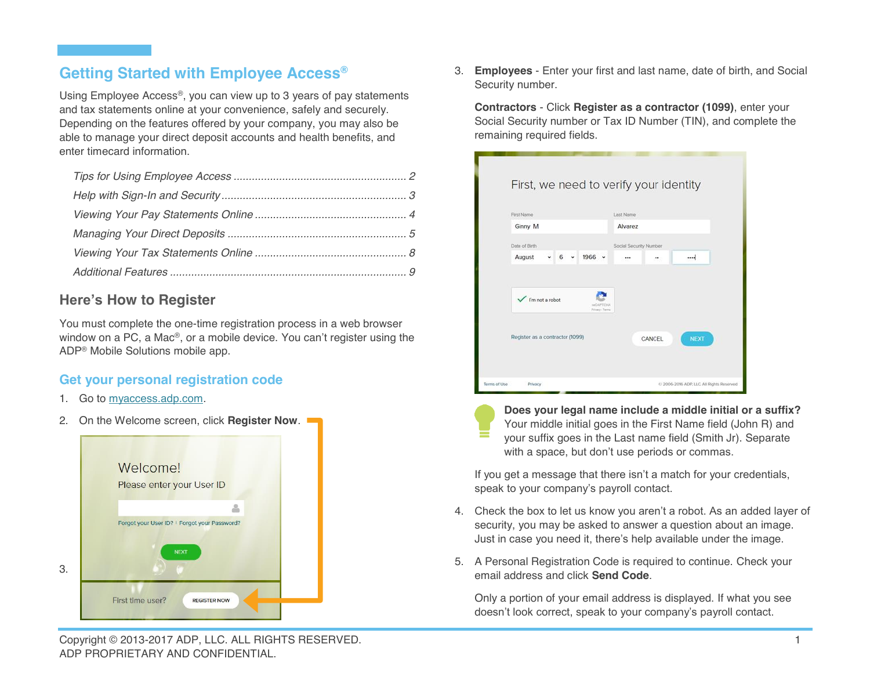# **Getting Started with Employee Access®**

Using Employee Access®, you can view up to 3 years of pay statements and tax statements online at your convenience, safely and securely. Depending on the features offered by your company, you may also be able to manage your direct deposit accounts and health benefits, and enter timecard information.

# **Here's How to Register**

You must complete the one-time registration process in a web browser window on a PC, a Mac®, or a mobile device. You can't register using the ADP® Mobile Solutions mobile app.

# **Get your personal registration code**

- 1. Go to myaccess.adp.com.
- 2. On the Welcome screen, click **Register Now**.



3. **Employees** - Enter your first and last name, date of birth, and Social Security number.

**Contractors** - Click **Register as a contractor (1099)**, enter your Social Security number or Tax ID Number (TIN), and complete the remaining required fields.

| First Name                      |         |            |                          | Last Name              |        |             |
|---------------------------------|---------|------------|--------------------------|------------------------|--------|-------------|
| Ginny M                         |         |            |                          | Alvarez                |        |             |
| Date of Birth                   |         |            |                          | Social Security Number |        |             |
| August                          | $6 - 4$ | $1966$ $*$ |                          |                        |        | $\cdots$    |
| $\checkmark$ fm not a robot     |         |            | HCAPTENA<br>Friends Lema |                        |        |             |
| Register as a contractor (1099) |         |            |                          |                        | CANCEL | <b>NEXT</b> |

**Does your legal name include a middle initial or a suffix?** Your middle initial goes in the First Name field (John R) and your suffix goes in the Last name field (Smith Jr). Separate with a space, but don't use periods or commas.

If you get a message that there isn't a match for your credentials, speak to your company's payroll contact.

- 4. Check the box to let us know you aren't a robot. As an added layer of security, you may be asked to answer a question about an image. Just in case you need it, there's help available under the image.
- 5. A Personal Registration Code is required to continue. Check your email address and click **Send Code**.

Only a portion of your email address is displayed. If what you see doesn't look correct, speak to your company's payroll contact.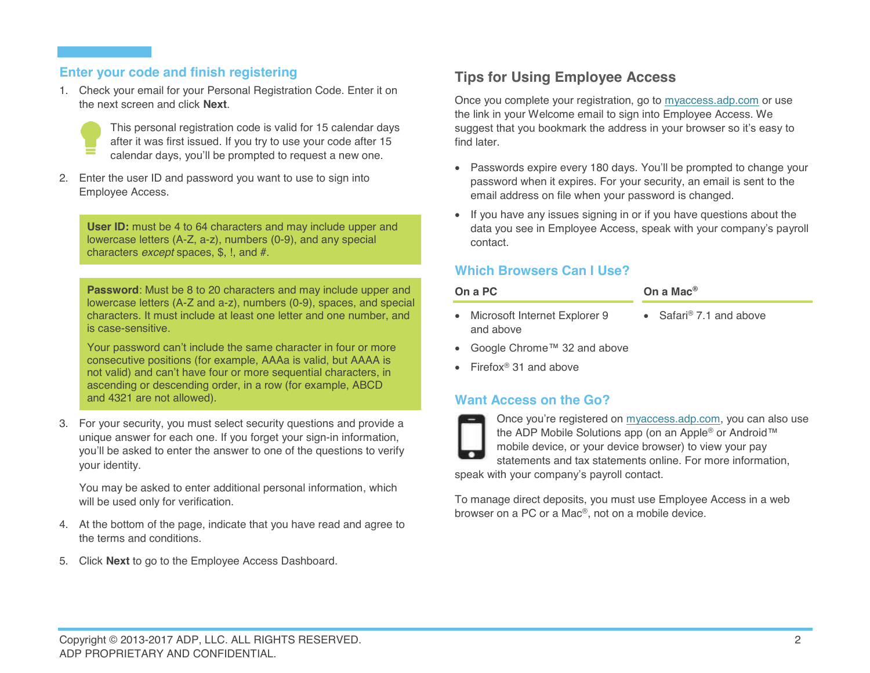## **Enter your code and finish registering**

1. Check your email for your Personal Registration Code. Enter it on the next screen and click **Next**.



This personal registration code is valid for 15 calendar days after it was first issued. If you try to use your code after 15 calendar days, you'll be prompted to request a new one.

2. Enter the user ID and password you want to use to sign into Employee Access.

**User ID:** must be 4 to 64 characters and may include upper and lowercase letters (A-Z, a-z), numbers (0-9), and any special characters *except* spaces, \$, !, and #.

**Password**: Must be 8 to 20 characters and may include upper and lowercase letters (A-Z and a-z), numbers (0-9), spaces, and special characters. It must include at least one letter and one number, and is case-sensitive.

Your password can't include the same character in four or more consecutive positions (for example, AAAa is valid, but AAAA is not valid) and can't have four or more sequential characters, in ascending or descending order, in a row (for example, ABCD and 4321 are not allowed).

3. For your security, you must select security questions and provide a unique answer for each one. If you forget your sign-in information, you'll be asked to enter the answer to one of the questions to verify your identity.

You may be asked to enter additional personal information, which will be used only for verification.

- 4. At the bottom of the page, indicate that you have read and agree to the terms and conditions.
- 5. Click **Next** to go to the Employee Access Dashboard.

# **Tips for Using Employee Access**

Once you complete your registration, go to myaccess.adp.com or use the link in your Welcome email to sign into Employee Access. We suggest that you bookmark the address in your browser so it's easy to find later.

- Passwords expire every 180 days. You'll be prompted to change your password when it expires. For your security, an email is sent to the email address on file when your password is changed.
- If you have any issues signing in or if you have questions about the data you see in Employee Access, speak with your company's payroll contact.

## **Which Browsers Can I Use?**

| On a PC                         | On a Mac $^{\circledR}$             |  |  |
|---------------------------------|-------------------------------------|--|--|
| • Microsoft Internet Explorer 9 | • Safari <sup>®</sup> 7.1 and above |  |  |

- Google Chrome™ 32 and above
- $\bullet$  Firefox<sup>®</sup> 31 and above

and above

## **Want Access on the Go?**



Once you're registered on myaccess.adp.com, you can also use the ADP Mobile Solutions app (on an Apple® or Android™ mobile device, or your device browser) to view your pay statements and tax statements online. For more information, speak with your company's payroll contact.

To manage direct deposits, you must use Employee Access in a web browser on a PC or a Mac®, not on a mobile device.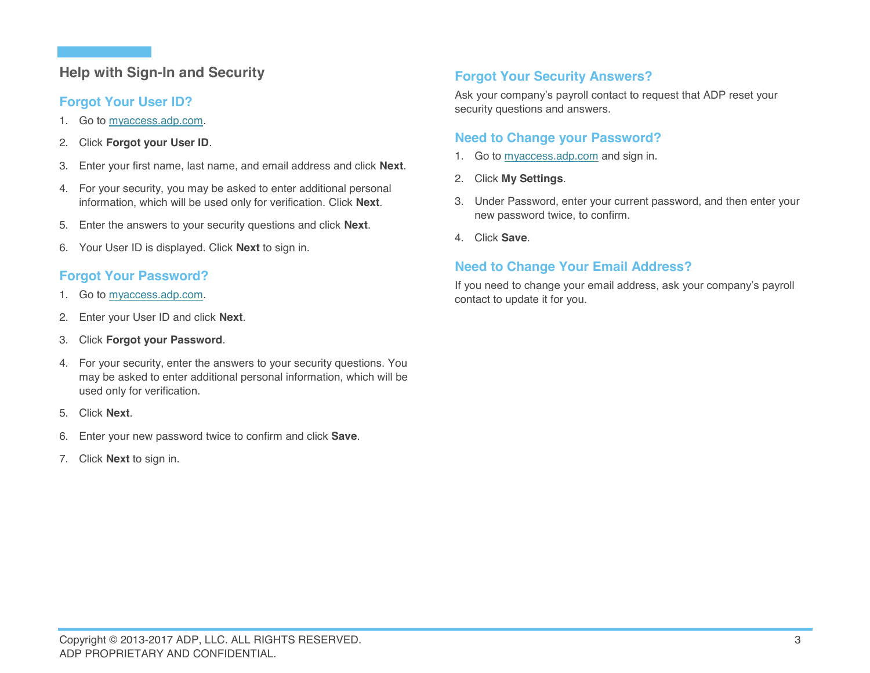# **Help with Sign-In and Security**

## **Forgot Your User ID?**

- 1. Go to myaccess.adp.com.
- 2. Click **Forgot your User ID**.
- 3. Enter your first name, last name, and email address and click **Next**.
- 4. For your security, you may be asked to enter additional personal information, which will be used only for verification. Click **Next**.
- 5. Enter the answers to your security questions and click **Next**.
- 6. Your User ID is displayed. Click **Next** to sign in.

# **Forgot Your Password?**

- 1. Go to myaccess.adp.com.
- 2. Enter your User ID and click **Next**.
- 3. Click **Forgot your Password**.
- 4. For your security, enter the answers to your security questions. You may be asked to enter additional personal information, which will be used only for verification.
- 5. Click **Next**.
- 6. Enter your new password twice to confirm and click **Save**.
- 7. Click **Next** to sign in.

# **Forgot Your Security Answers?**

Ask your company's payroll contact to request that ADP reset your security questions and answers.

# **Need to Change your Password?**

- 1. Go to myaccess.adp.com and sign in.
- 2. Click **My Settings**.
- 3. Under Password, enter your current password, and then enter your new password twice, to confirm.
- 4. Click **Save**.

# **Need to Change Your Email Address?**

If you need to change your email address, ask your company's payroll contact to update it for you.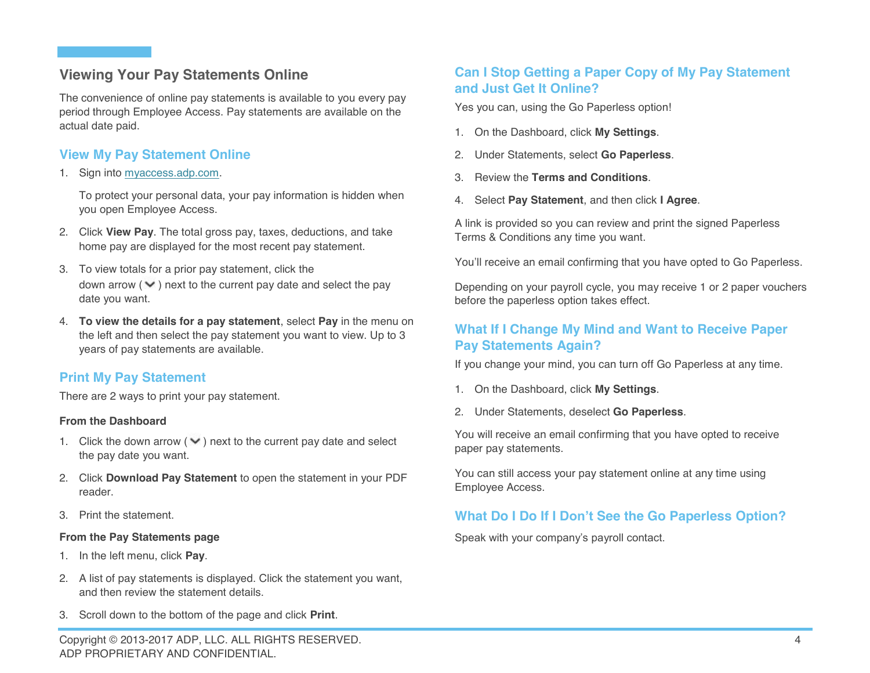# **Viewing Your Pay Statements Online**

The convenience of online pay statements is available to you every pay period through Employee Access. Pay statements are available on the actual date paid.

# **View My Pay Statement Online**

1. Sign into myaccess.adp.com.

To protect your personal data, your pay information is hidden when you open Employee Access.

- 2. Click **View Pay**. The total gross pay, taxes, deductions, and take home pay are displayed for the most recent pay statement.
- 3. To view totals for a prior pay statement, click the down arrow  $(\vee)$  next to the current pay date and select the pay date you want.
- 4. **To view the details for a pay statement**, select **Pay** in the menu on the left and then select the pay statement you want to view. Up to 3 years of pay statements are available.

# **Print My Pay Statement**

There are 2 ways to print your pay statement.

#### **From the Dashboard**

- 1. Click the down arrow ( $\vee$ ) next to the current pay date and select the pay date you want.
- 2. Click **Download Pay Statement** to open the statement in your PDF reader.
- 3. Print the statement.

#### **From the Pay Statements page**

- 1. In the left menu, click **Pay**.
- 2. A list of pay statements is displayed. Click the statement you want, and then review the statement details.
- 3. Scroll down to the bottom of the page and click **Print**.

# **Can I Stop Getting a Paper Copy of My Pay Statement and Just Get It Online?**

Yes you can, using the Go Paperless option!

- 1. On the Dashboard, click **My Settings**.
- 2. Under Statements, select **Go Paperless**.
- 3. Review the **Terms and Conditions**.
- 4. Select **Pay Statement**, and then click **I Agree**.

A link is provided so you can review and print the signed Paperless Terms & Conditions any time you want.

You'll receive an email confirming that you have opted to Go Paperless.

Depending on your payroll cycle, you may receive 1 or 2 paper vouchers before the paperless option takes effect.

# **What If I Change My Mind and Want to Receive Paper Pay Statements Again?**

If you change your mind, you can turn off Go Paperless at any time.

- 1. On the Dashboard, click **My Settings**.
- 2. Under Statements, deselect **Go Paperless**.

You will receive an email confirming that you have opted to receive paper pay statements.

You can still access your pay statement online at any time using Employee Access.

# **What Do I Do If I Don't See the Go Paperless Option?**

Speak with your company's payroll contact.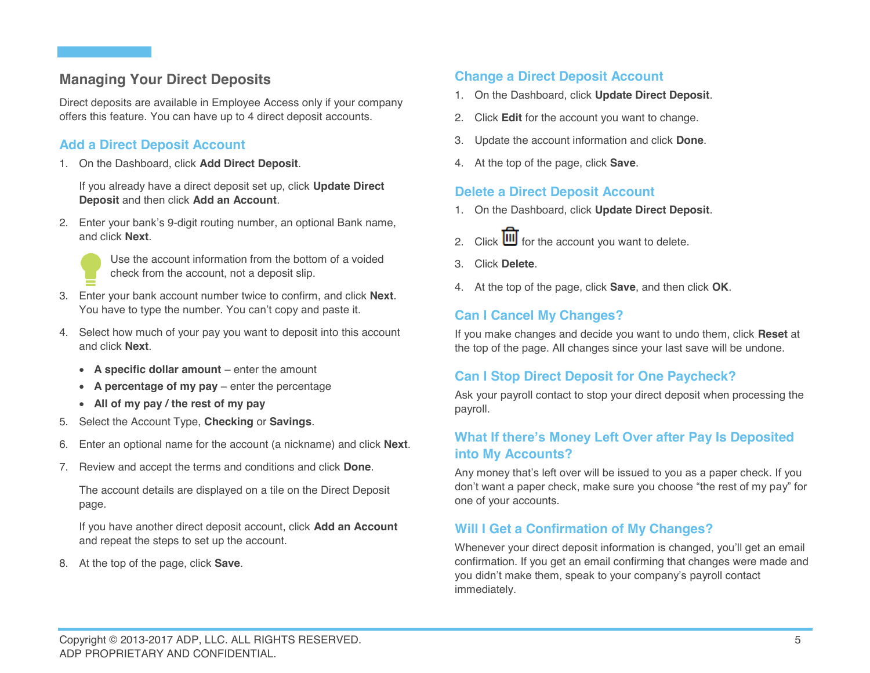# **Managing Your Direct Deposits**

Direct deposits are available in Employee Access only if your company offers this feature. You can have up to 4 direct deposit accounts.

# **Add a Direct Deposit Account**

1. On the Dashboard, click **Add Direct Deposit**.

If you already have a direct deposit set up, click **Update Direct Deposit** and then click **Add an Account**.

2. Enter your bank's 9-digit routing number, an optional Bank name, and click **Next**.

Use the account information from the bottom of a voided check from the account, not a deposit slip.

- 3. Enter your bank account number twice to confirm, and click **Next**. You have to type the number. You can't copy and paste it.
- 4. Select how much of your pay you want to deposit into this account and click **Next**.
	- x **A specific dollar amount** enter the amount
	- x **A percentage of my pay** enter the percentage
	- x **All of my pay / the rest of my pay**
- 5. Select the Account Type, **Checking** or **Savings**.
- 6. Enter an optional name for the account (a nickname) and click **Next**.
- 7. Review and accept the terms and conditions and click **Done**.

The account details are displayed on a tile on the Direct Deposit page.

If you have another direct deposit account, click **Add an Account** and repeat the steps to set up the account.

8. At the top of the page, click **Save**.

## **Change a Direct Deposit Account**

- 1. On the Dashboard, click **Update Direct Deposit**.
- 2. Click **Edit** for the account you want to change.
- 3. Update the account information and click **Done**.
- 4. At the top of the page, click **Save**.

## **Delete a Direct Deposit Account**

- 1. On the Dashboard, click **Update Direct Deposit**.
- 2. Click  $\overline{\mathbf{III}}$  for the account you want to delete.
- 3. Click **Delete**.
- 4. At the top of the page, click **Save**, and then click **OK**.

# **Can I Cancel My Changes?**

If you make changes and decide you want to undo them, click **Reset** at the top of the page. All changes since your last save will be undone.

## **Can I Stop Direct Deposit for One Paycheck?**

Ask your payroll contact to stop your direct deposit when processing the payroll.

# **What If there's Money Left Over after Pay Is Deposited into My Accounts?**

Any money that's left over will be issued to you as a paper check. If you don't want a paper check, make sure you choose "the rest of my pay" for one of your accounts.

## **Will I Get a Confirmation of My Changes?**

Whenever your direct deposit information is changed, you'll get an email confirmation. If you get an email confirming that changes were made and you didn't make them, speak to your company's payroll contact immediately.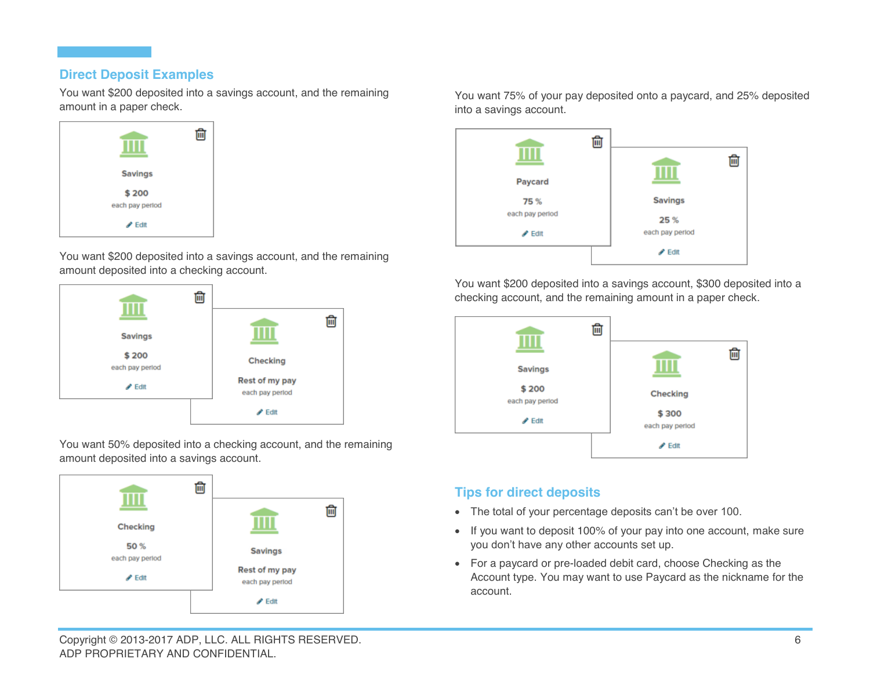## **Direct Deposit Examples**

You want \$200 deposited into a savings account, and the remaining amount in a paper check.



You want \$200 deposited into a savings account, and the remaining amount deposited into a checking account.



You want 50% deposited into a checking account, and the remaining amount deposited into a savings account.



You want 75% of your pay deposited onto a paycard, and 25% deposited into a savings account.



You want \$200 deposited into a savings account, \$300 deposited into a checking account, and the remaining amount in a paper check.



# **Tips for direct deposits**

- The total of your percentage deposits can't be over 100.
- If you want to deposit 100% of your pay into one account, make sure you don't have any other accounts set up.
- For a paycard or pre-loaded debit card, choose Checking as the Account type. You may want to use Paycard as the nickname for the account.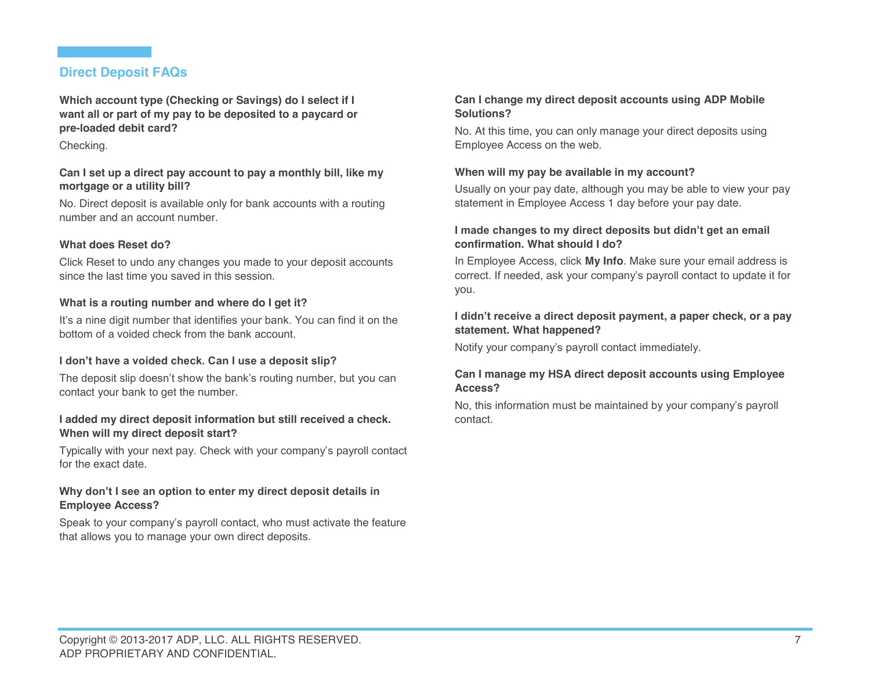## **Direct Deposit FAQs**

**Which account type (Checking or Savings) do I select if I want all or part of my pay to be deposited to a paycard or pre-loaded debit card?**

#### Checking.

#### **Can I set up a direct pay account to pay a monthly bill, like my mortgage or a utility bill?**

No. Direct deposit is available only for bank accounts with a routing number and an account number.

#### **What does Reset do?**

Click Reset to undo any changes you made to your deposit accounts since the last time you saved in this session.

#### **What is a routing number and where do I get it?**

It's a nine digit number that identifies your bank. You can find it on the bottom of a voided check from the bank account.

#### **I don't have a voided check. Can I use a deposit slip?**

The deposit slip doesn't show the bank's routing number, but you can contact your bank to get the number.

#### **I added my direct deposit information but still received a check. When will my direct deposit start?**

Typically with your next pay. Check with your company's payroll contact for the exact date.

#### **Why don't I see an option to enter my direct deposit details in Employee Access?**

Speak to your company's payroll contact, who must activate the feature that allows you to manage your own direct deposits.

#### **Can I change my direct deposit accounts using ADP Mobile Solutions?**

No. At this time, you can only manage your direct deposits using Employee Access on the web.

#### **When will my pay be available in my account?**

Usually on your pay date, although you may be able to view your pay statement in Employee Access 1 day before your pay date.

#### **I made changes to my direct deposits but didn't get an email confirmation. What should I do?**

In Employee Access, click **My Info**. Make sure your email address is correct. If needed, ask your company's payroll contact to update it for you.

#### **I didn't receive a direct deposit payment, a paper check, or a pay statement. What happened?**

Notify your company's payroll contact immediately.

#### **Can I manage my HSA direct deposit accounts using Employee Access?**

No, this information must be maintained by your company's payroll contact.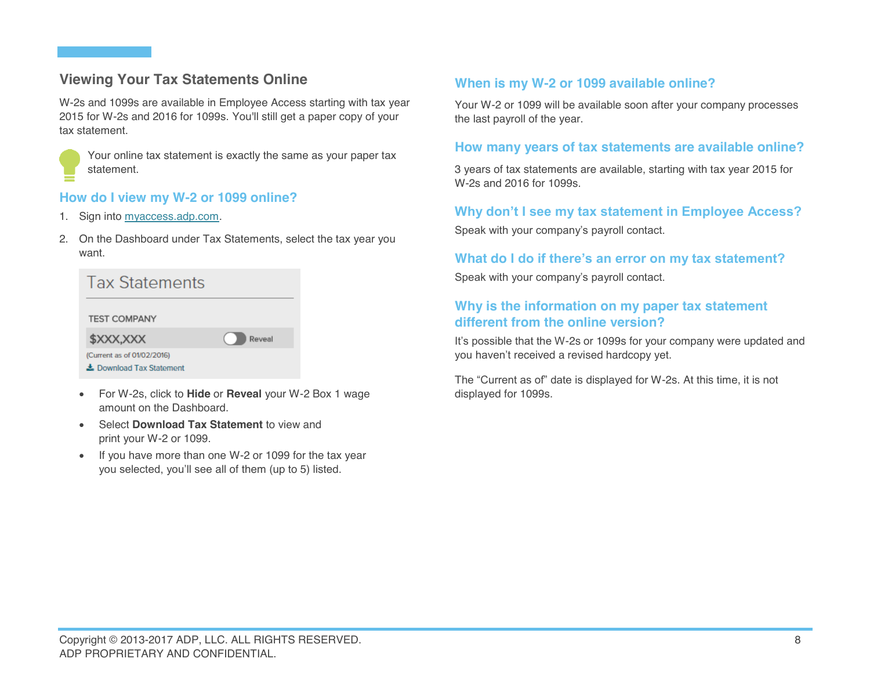# **Viewing Your Tax Statements Online**

W-2s and 1099s are available in Employee Access starting with tax year 2015 for W-2s and 2016 for 1099s. You'll still get a paper copy of your tax statement.



Your online tax statement is exactly the same as your paper tax statement.

## **How do I view my W-2 or 1099 online?**

- 1. Sign into myaccess.adp.com.
- 2. On the Dashboard under Tax Statements, select the tax year you want.

| <b>Tax Statements</b>                                  |        |
|--------------------------------------------------------|--------|
| <b>TEST COMPANY</b>                                    |        |
| \$XXX,XXX                                              | Reveal |
| (Current as of 01/02/2016)<br>去 Download Tax Statement |        |

- x For W-2s, click to **Hide** or **Reveal** your W-2 Box 1 wage amount on the Dashboard.
- **Select Download Tax Statement** to view and print your W-2 or 1099.
- If you have more than one W-2 or 1099 for the tax year you selected, you'll see all of them (up to 5) listed.

## **When is my W-2 or 1099 available online?**

Your W-2 or 1099 will be available soon after your company processes the last payroll of the year.

### **How many years of tax statements are available online?**

3 years of tax statements are available, starting with tax year 2015 for W-2s and 2016 for 1099s.

## **Why don't I see my tax statement in Employee Access?**

Speak with your company's payroll contact.

## **What do I do if there's an error on my tax statement?**

Speak with your company's payroll contact.

## **Why is the information on my paper tax statement different from the online version?**

It's possible that the W-2s or 1099s for your company were updated and you haven't received a revised hardcopy yet.

The "Current as of" date is displayed for W-2s. At this time, it is not displayed for 1099s.